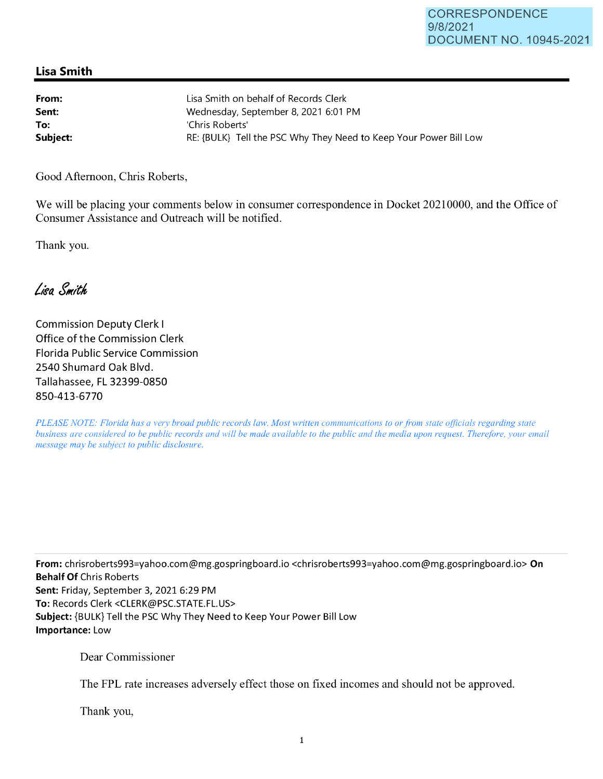## **Lisa Smith**

| From:    | Lisa Smith on behalf of Records Clerk                             |
|----------|-------------------------------------------------------------------|
| Sent:    | Wednesday, September 8, 2021 6:01 PM                              |
| To:      | 'Chris Roberts'                                                   |
| Subject: | RE: {BULK} Tell the PSC Why They Need to Keep Your Power Bill Low |

Good Afternoon, Chris Roberts,

We will be placing your comments below in consumer correspondence in Docket 20210000, and the Office of Consumer Assistance and Outreach will be notified.

Thank you.

Lisa Smith

Commission Deputy Clerk I Office of the Commission Clerk Florida Public Service Commission 2540 Shumard Oak Blvd. Tallahassee, FL 32399-0850 850-413-6770

*PLEASE NOTE: Florida has a very broad public records law. Most written communications to or from state officials regarding state business are considered to be public records and will be made available to the public and the media upon request. Therefore, your email message may be subject to public disclosure.* 

**From:** chrisroberts993=yahoo.com@mg.gospringboard.io <chrisroberts993=yahoo.com@mg.gospringboard.io> **On Behalf Of** Chris Roberts **Sent:** Friday, September 3, 2021 6:29 PM **To:** Records Clerk <CLERK@PSC.STATE.FL.US> **Subject:** {BULK} Tell the PSC Why They Need to Keep Your Power Bill Low **Importance:** Low

Dear Commissioner

The FPL rate increases adversely effect those on fixed incomes and should not be approved.

Thank you,